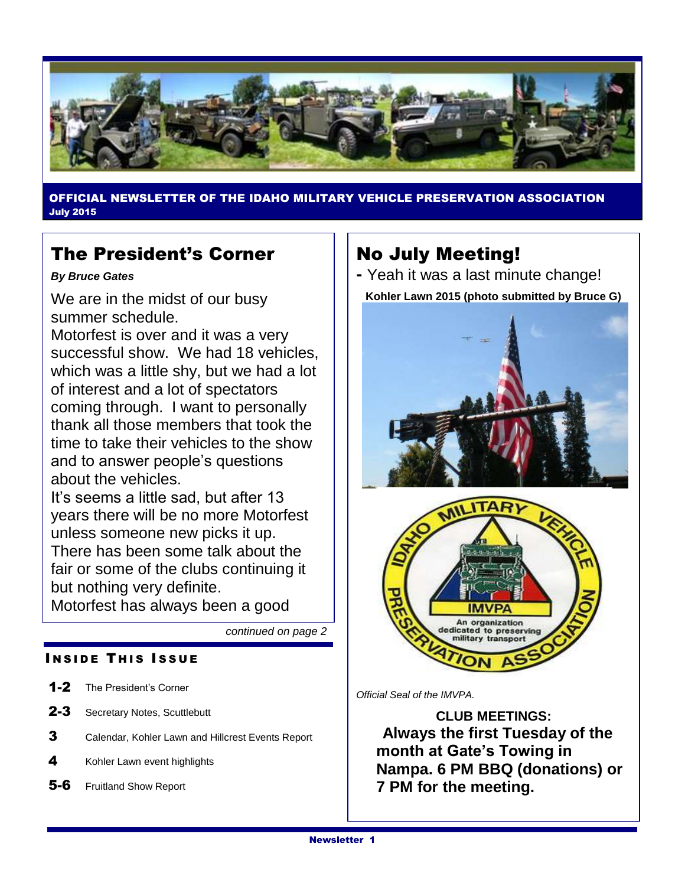

OFFICIAL NEWSLETTER OF THE IDAHO MILITARY VEHICLE PRESERVATION ASSOCIATION July 2015

### The President's Corner

#### *By Bruce Gates*

We are in the midst of our busy summer schedule.

Motorfest is over and it was a very successful show. We had 18 vehicles, which was a little shy, but we had a lot of interest and a lot of spectators coming through. I want to personally thank all those members that took the time to take their vehicles to the show and to answer people's questions about the vehicles.

It's seems a little sad, but after 13 years there will be no more Motorfest unless someone new picks it up. There has been some talk about the fair or some of the clubs continuing it but nothing very definite. Motorfest has always been a good

*continued on page 2*

### **INSIDE THIS ISSUE**

- 1-2 The President's Corner
- 2-3 Secretary Notes, Scuttlebutt
- 3 Calendar, Kohler Lawn and Hillcrest Events Report
- 4 Kohler Lawn event highlights
- 5-6 Fruitland Show Report

### No July Meeting!

**-** Yeah it was a last minute change! **Kohler Lawn 2015 (photo submitted by Bruce G)**





*Official Seal of the IMVPA.*

**CLUB MEETINGS: Always the first Tuesday of the month at Gate's Towing in Nampa. 6 PM BBQ (donations) or 7 PM for the meeting.**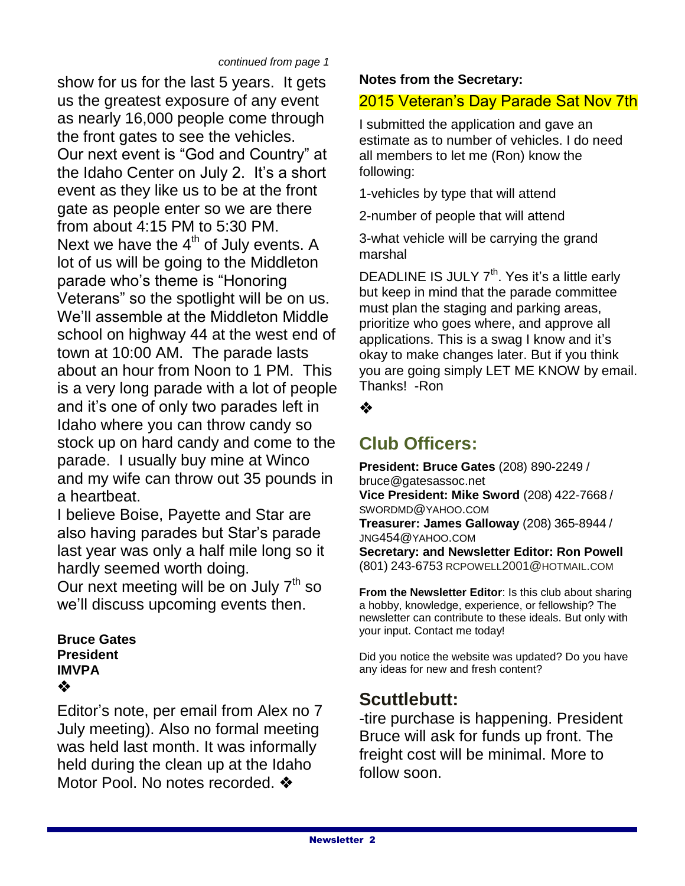show for us for the last 5 years. It gets us the greatest exposure of any event as nearly 16,000 people come through the front gates to see the vehicles. Our next event is "God and Country" at the Idaho Center on July 2. It's a short event as they like us to be at the front gate as people enter so we are there from about 4:15 PM to 5:30 PM. Next we have the  $4<sup>th</sup>$  of July events. A lot of us will be going to the Middleton parade who's theme is "Honoring Veterans" so the spotlight will be on us. We'll assemble at the Middleton Middle school on highway 44 at the west end of town at 10:00 AM. The parade lasts about an hour from Noon to 1 PM. This is a very long parade with a lot of people and it's one of only two parades left in Idaho where you can throw candy so stock up on hard candy and come to the parade. I usually buy mine at Winco and my wife can throw out 35 pounds in a heartbeat.

I believe Boise, Payette and Star are also having parades but Star's parade last year was only a half mile long so it hardly seemed worth doing.

Our next meeting will be on July  $7<sup>th</sup>$  so we'll discuss upcoming events then.

#### **Bruce Gates President IMVPA** ❖

Editor's note, per email from Alex no 7 July meeting). Also no formal meeting was held last month. It was informally held during the clean up at the Idaho Motor Pool. No notes recorded. ❖

### **Notes from the Secretary:**

### 2015 Veteran's Day Parade Sat Nov 7th

I submitted the application and gave an estimate as to number of vehicles. I do need all members to let me (Ron) know the following:

1-vehicles by type that will attend

2-number of people that will attend

3-what vehicle will be carrying the grand marshal

DEADLINE IS JULY 7<sup>th</sup>. Yes it's a little early but keep in mind that the parade committee must plan the staging and parking areas, prioritize who goes where, and approve all applications. This is a swag I know and it's okay to make changes later. But if you think you are going simply LET ME KNOW by email. Thanks! -Ron

❖

### **Club Officers:**

**President: Bruce Gates** (208) 890-2249 / bruce@gatesassoc.net **Vice President: Mike Sword** (208) 422-7668 / SWORDMD@YAHOO.COM **Treasurer: James Galloway** (208) 365-8944 / JNG454@YAHOO.COM **Secretary: and Newsletter Editor: Ron Powell**  (801) 243-6753 [RCPOWELL](mailto:rcpowell2001@hotmail.com)2001@HOTMAIL.COM

**From the Newsletter Editor**: Is this club about sharing a hobby, knowledge, experience, or fellowship? The newsletter can contribute to these ideals. But only with your input. Contact me today!

Did you notice the website was updated? Do you have any ideas for new and fresh content?

### **Scuttlebutt:**

-tire purchase is happening. President Bruce will ask for funds up front. The freight cost will be minimal. More to follow soon.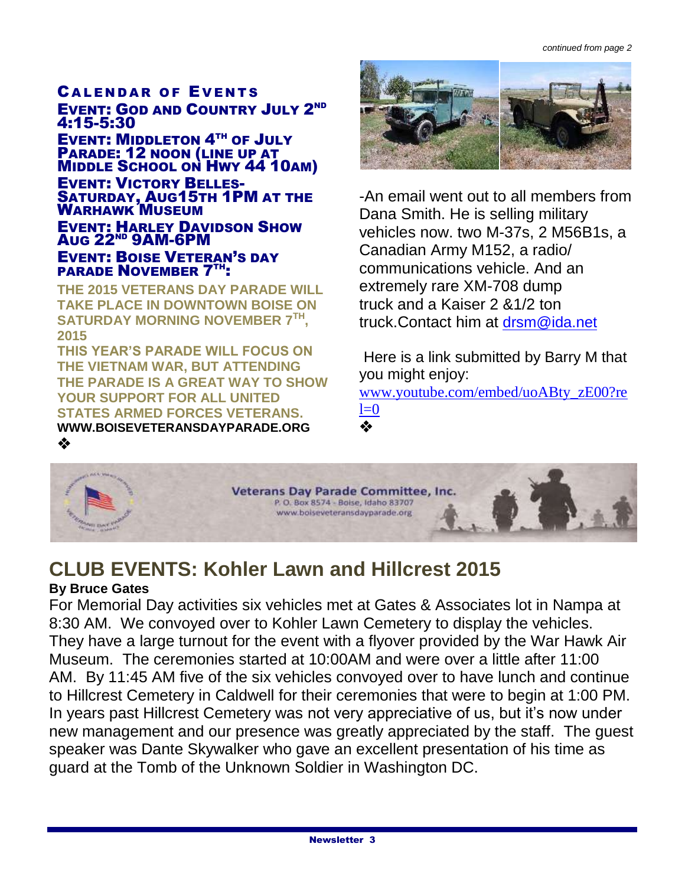#### **CALENDAR OF EVENTS EVENT: GOD AND COUNTRY JULY 2ND** 4:15-5:30

EVENT: MIDDLETON 4<sup>TH</sup> OF JULY PARADE: 12 NOON (LINE UP AT MIDDLE SCHOOL ON HWY 44 10AM) EVENT: VICTORY BELLES-SATURDAY, AUG15TH 1PM AT THE WARHAWK MUSEUM EVENT: HARLEY DAVIDSON SHOW AUG 22ND 9AM-6PM EVENT: BOISE VETERAN'S DAY PARADE NOVEMBER 7TH:

**THE 2015 VETERANS DAY PARADE WILL TAKE PLACE IN DOWNTOWN BOISE ON SATURDAY MORNING NOVEMBER 7TH , 2015**

**THIS YEAR'S PARADE WILL FOCUS ON THE VIETNAM WAR, BUT ATTENDING THE PARADE IS A GREAT WAY TO SHOW YOUR SUPPORT FOR ALL UNITED STATES ARMED FORCES VETERANS. WWW.BOISEVETERANSDAYPARADE.ORG** ❖



-An email went out to all members from Dana Smith. He is selling military vehicles now. two M-37s, 2 M56B1s, a Canadian Army M152, a radio/ communications vehicle. And an extremely rare XM-708 dump truck and a Kaiser 2 &1/2 ton truck.Contact him at [drsm@ida.net](mailto:drsm@ida.net)

Here is a link submitted by Barry M that you might enjoy:

[www.youtube.com/embed/uoABty\\_zE00?re](http://www.youtube.com/embed/uoABty_zE00?rel=0)  $l=0$ ❖



## **CLUB EVENTS: Kohler Lawn and Hillcrest 2015**

### **By Bruce Gates**

For Memorial Day activities six vehicles met at Gates & Associates lot in Nampa at 8:30 AM. We convoyed over to Kohler Lawn Cemetery to display the vehicles. They have a large turnout for the event with a flyover provided by the War Hawk Air Museum. The ceremonies started at 10:00AM and were over a little after 11:00 AM. By 11:45 AM five of the six vehicles convoyed over to have lunch and continue to Hillcrest Cemetery in Caldwell for their ceremonies that were to begin at 1:00 PM. In years past Hillcrest Cemetery was not very appreciative of us, but it's now under new management and our presence was greatly appreciated by the staff. The guest speaker was Dante Skywalker who gave an excellent presentation of his time as guard at the Tomb of the Unknown Soldier in Washington DC.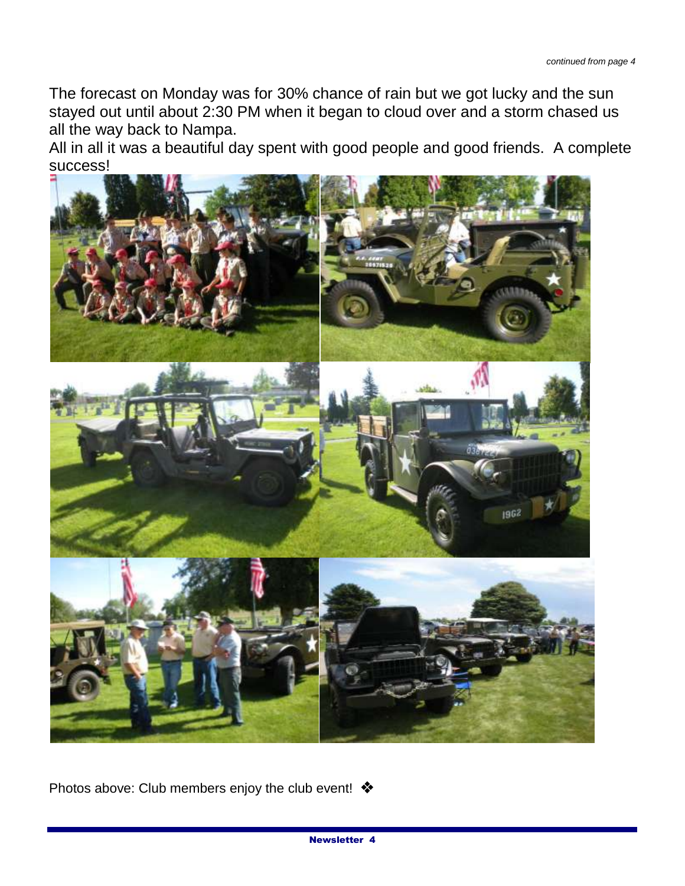The forecast on Monday was for 30% chance of rain but we got lucky and the sun stayed out until about 2:30 PM when it began to cloud over and a storm chased us all the way back to Nampa.

All in all it was a beautiful day spent with good people and good friends. A complete success!



Photos above: Club members enjoy the club event! ❖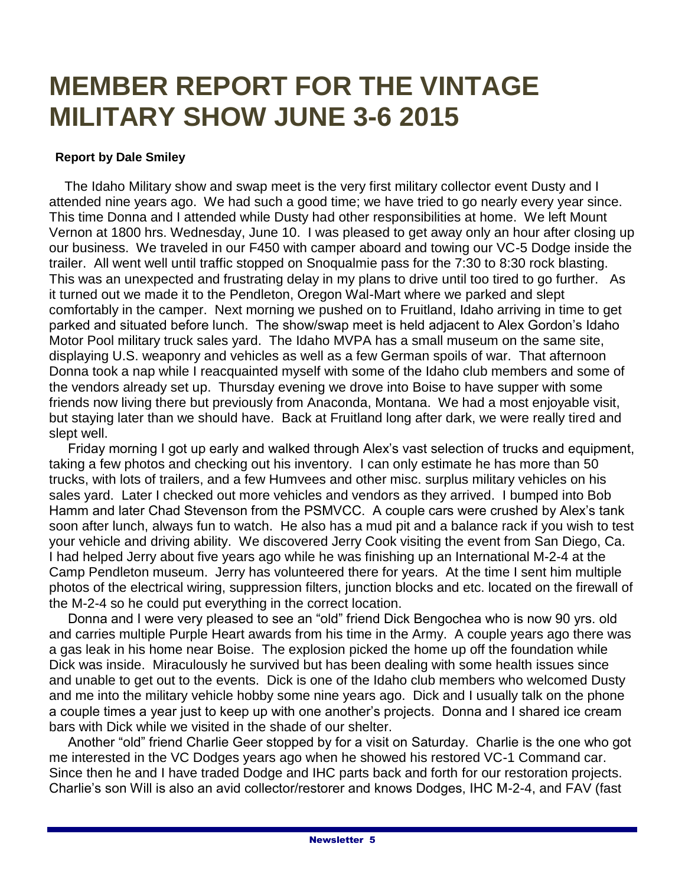# **MEMBER REPORT FOR THE VINTAGE MILITARY SHOW JUNE 3-6 2015**

#### **Report by Dale Smiley**

 The Idaho Military show and swap meet is the very first military collector event Dusty and I attended nine years ago. We had such a good time; we have tried to go nearly every year since. This time Donna and I attended while Dusty had other responsibilities at home. We left Mount Vernon at 1800 hrs. Wednesday, June 10. I was pleased to get away only an hour after closing up our business. We traveled in our F450 with camper aboard and towing our VC-5 Dodge inside the trailer. All went well until traffic stopped on Snoqualmie pass for the 7:30 to 8:30 rock blasting. This was an unexpected and frustrating delay in my plans to drive until too tired to go further. As it turned out we made it to the Pendleton, Oregon Wal-Mart where we parked and slept comfortably in the camper. Next morning we pushed on to Fruitland, Idaho arriving in time to get parked and situated before lunch. The show/swap meet is held adjacent to Alex Gordon's Idaho Motor Pool military truck sales yard. The Idaho MVPA has a small museum on the same site, displaying U.S. weaponry and vehicles as well as a few German spoils of war. That afternoon Donna took a nap while I reacquainted myself with some of the Idaho club members and some of the vendors already set up. Thursday evening we drove into Boise to have supper with some friends now living there but previously from Anaconda, Montana. We had a most enjoyable visit, but staying later than we should have. Back at Fruitland long after dark, we were really tired and slept well.

 Friday morning I got up early and walked through Alex's vast selection of trucks and equipment, taking a few photos and checking out his inventory. I can only estimate he has more than 50 trucks, with lots of trailers, and a few Humvees and other misc. surplus military vehicles on his sales yard. Later I checked out more vehicles and vendors as they arrived. I bumped into Bob Hamm and later Chad Stevenson from the PSMVCC. A couple cars were crushed by Alex's tank soon after lunch, always fun to watch. He also has a mud pit and a balance rack if you wish to test your vehicle and driving ability. We discovered Jerry Cook visiting the event from San Diego, Ca. I had helped Jerry about five years ago while he was finishing up an International M-2-4 at the Camp Pendleton museum. Jerry has volunteered there for years. At the time I sent him multiple photos of the electrical wiring, suppression filters, junction blocks and etc. located on the firewall of the M-2-4 so he could put everything in the correct location.

 Donna and I were very pleased to see an "old" friend Dick Bengochea who is now 90 yrs. old and carries multiple Purple Heart awards from his time in the Army. A couple years ago there was a gas leak in his home near Boise. The explosion picked the home up off the foundation while Dick was inside. Miraculously he survived but has been dealing with some health issues since and unable to get out to the events. Dick is one of the Idaho club members who welcomed Dusty and me into the military vehicle hobby some nine years ago. Dick and I usually talk on the phone a couple times a year just to keep up with one another's projects. Donna and I shared ice cream bars with Dick while we visited in the shade of our shelter.

 Another "old" friend Charlie Geer stopped by for a visit on Saturday. Charlie is the one who got me interested in the VC Dodges years ago when he showed his restored VC-1 Command car. Since then he and I have traded Dodge and IHC parts back and forth for our restoration projects. Charlie's son Will is also an avid collector/restorer and knows Dodges, IHC M-2-4, and FAV (fast